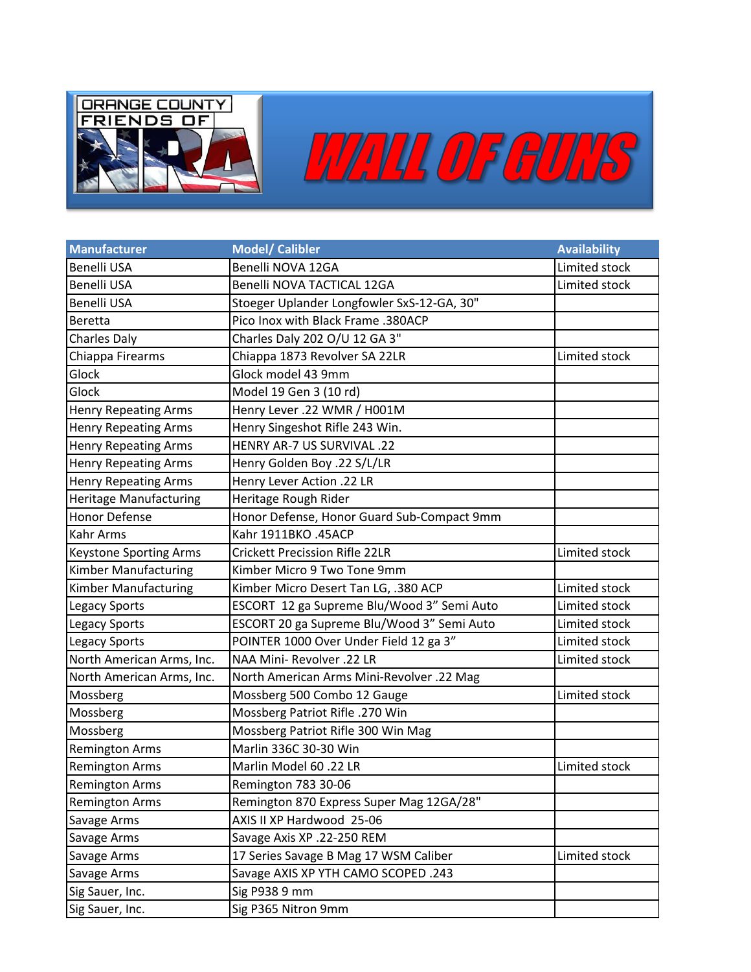



| <b>Manufacturer</b>           | Model/ Calibler                            | <b>Availability</b> |
|-------------------------------|--------------------------------------------|---------------------|
| <b>Benelli USA</b>            | Benelli NOVA 12GA                          | Limited stock       |
| <b>Benelli USA</b>            | Benelli NOVA TACTICAL 12GA                 | Limited stock       |
| Benelli USA                   | Stoeger Uplander Longfowler SxS-12-GA, 30" |                     |
| Beretta                       | Pico Inox with Black Frame .380ACP         |                     |
| <b>Charles Daly</b>           | Charles Daly 202 O/U 12 GA 3"              |                     |
| Chiappa Firearms              | Chiappa 1873 Revolver SA 22LR              | Limited stock       |
| Glock                         | Glock model 43 9mm                         |                     |
| Glock                         | Model 19 Gen 3 (10 rd)                     |                     |
| <b>Henry Repeating Arms</b>   | Henry Lever .22 WMR / H001M                |                     |
| <b>Henry Repeating Arms</b>   | Henry Singeshot Rifle 243 Win.             |                     |
| <b>Henry Repeating Arms</b>   | HENRY AR-7 US SURVIVAL .22                 |                     |
| <b>Henry Repeating Arms</b>   | Henry Golden Boy .22 S/L/LR                |                     |
| <b>Henry Repeating Arms</b>   | Henry Lever Action .22 LR                  |                     |
| <b>Heritage Manufacturing</b> | Heritage Rough Rider                       |                     |
| <b>Honor Defense</b>          | Honor Defense, Honor Guard Sub-Compact 9mm |                     |
| <b>Kahr Arms</b>              | Kahr 1911BKO .45ACP                        |                     |
| <b>Keystone Sporting Arms</b> | <b>Crickett Precission Rifle 22LR</b>      | Limited stock       |
| <b>Kimber Manufacturing</b>   | Kimber Micro 9 Two Tone 9mm                |                     |
| Kimber Manufacturing          | Kimber Micro Desert Tan LG, .380 ACP       | Limited stock       |
| <b>Legacy Sports</b>          | ESCORT 12 ga Supreme Blu/Wood 3" Semi Auto | Limited stock       |
| Legacy Sports                 | ESCORT 20 ga Supreme Blu/Wood 3" Semi Auto | Limited stock       |
| <b>Legacy Sports</b>          | POINTER 1000 Over Under Field 12 ga 3"     | Limited stock       |
| North American Arms, Inc.     | NAA Mini- Revolver .22 LR                  | Limited stock       |
| North American Arms, Inc.     | North American Arms Mini-Revolver .22 Mag  |                     |
| Mossberg                      | Mossberg 500 Combo 12 Gauge                | Limited stock       |
| Mossberg                      | Mossberg Patriot Rifle .270 Win            |                     |
| Mossberg                      | Mossberg Patriot Rifle 300 Win Mag         |                     |
| <b>Remington Arms</b>         | Marlin 336C 30-30 Win                      |                     |
| <b>Remington Arms</b>         | Marlin Model 60 .22 LR                     | Limited stock       |
| <b>Remington Arms</b>         | Remington 783 30-06                        |                     |
| <b>Remington Arms</b>         | Remington 870 Express Super Mag 12GA/28"   |                     |
| Savage Arms                   | AXIS II XP Hardwood 25-06                  |                     |
| Savage Arms                   | Savage Axis XP .22-250 REM                 |                     |
| Savage Arms                   | 17 Series Savage B Mag 17 WSM Caliber      | Limited stock       |
| Savage Arms                   | Savage AXIS XP YTH CAMO SCOPED .243        |                     |
| Sig Sauer, Inc.               | Sig P938 9 mm                              |                     |
| Sig Sauer, Inc.               | Sig P365 Nitron 9mm                        |                     |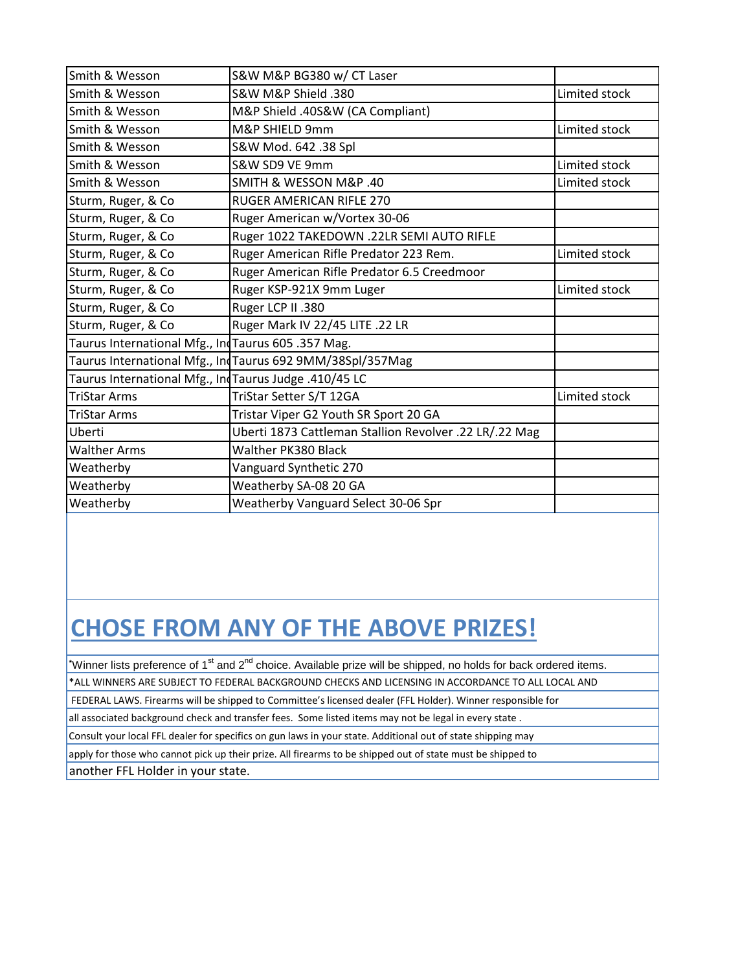| Smith & Wesson                                        | S&W M&P BG380 w/ CT Laser                                  |               |
|-------------------------------------------------------|------------------------------------------------------------|---------------|
| Smith & Wesson                                        | S&W M&P Shield .380                                        | Limited stock |
| Smith & Wesson                                        | M&P Shield .40S&W (CA Compliant)                           |               |
| Smith & Wesson                                        | M&P SHIELD 9mm                                             | Limited stock |
| Smith & Wesson                                        | S&W Mod. 642 .38 Spl                                       |               |
| Smith & Wesson                                        | S&W SD9 VE 9mm                                             | Limited stock |
| Smith & Wesson                                        | SMITH & WESSON M&P .40                                     | Limited stock |
| Sturm, Ruger, & Co                                    | <b>RUGER AMERICAN RIFLE 270</b>                            |               |
| Sturm, Ruger, & Co                                    | Ruger American w/Vortex 30-06                              |               |
| Sturm, Ruger, & Co                                    | Ruger 1022 TAKEDOWN .22LR SEMI AUTO RIFLE                  |               |
| Sturm, Ruger, & Co                                    | Ruger American Rifle Predator 223 Rem.                     | Limited stock |
| Sturm, Ruger, & Co                                    | Ruger American Rifle Predator 6.5 Creedmoor                |               |
| Sturm, Ruger, & Co                                    | Ruger KSP-921X 9mm Luger                                   | Limited stock |
| Sturm, Ruger, & Co                                    | Ruger LCP II .380                                          |               |
| Sturm, Ruger, & Co                                    | Ruger Mark IV 22/45 LITE .22 LR                            |               |
| Taurus International Mfg., IndTaurus 605 .357 Mag.    |                                                            |               |
|                                                       | Taurus International Mfg., Ind Taurus 692 9MM/38Spl/357Mag |               |
| Taurus International Mfg., IndTaurus Judge .410/45 LC |                                                            |               |
| <b>TriStar Arms</b>                                   | TriStar Setter S/T 12GA                                    | Limited stock |
| TriStar Arms                                          | Tristar Viper G2 Youth SR Sport 20 GA                      |               |
| Uberti                                                | Uberti 1873 Cattleman Stallion Revolver .22 LR/.22 Mag     |               |
| <b>Walther Arms</b>                                   | Walther PK380 Black                                        |               |
| Weatherby                                             | Vanguard Synthetic 270                                     |               |
| Weatherby                                             | Weatherby SA-08 20 GA                                      |               |
| Weatherby                                             | Weatherby Vanguard Select 30-06 Spr                        |               |
|                                                       |                                                            |               |

## **CHOSE FROM ANY OF THE ABOVE PRIZES!**

\*Winner lists preference of 1<sup>st</sup> and 2<sup>nd</sup> choice. Available prize will be shipped, no holds for back ordered items.

\*ALL WINNERS ARE SUBJECT TO FEDERAL BACKGROUND CHECKS AND LICENSING IN ACCORDANCE TO ALL LOCAL AND

FEDERAL LAWS. Firearms will be shipped to Committee's licensed dealer (FFL Holder). Winner responsible for

all associated background check and transfer fees. Some listed items may not be legal in every state .

Consult your local FFL dealer for specifics on gun laws in your state. Additional out of state shipping may

apply for those who cannot pick up their prize. All firearms to be shipped out of state must be shipped to

another FFL Holder in your state.